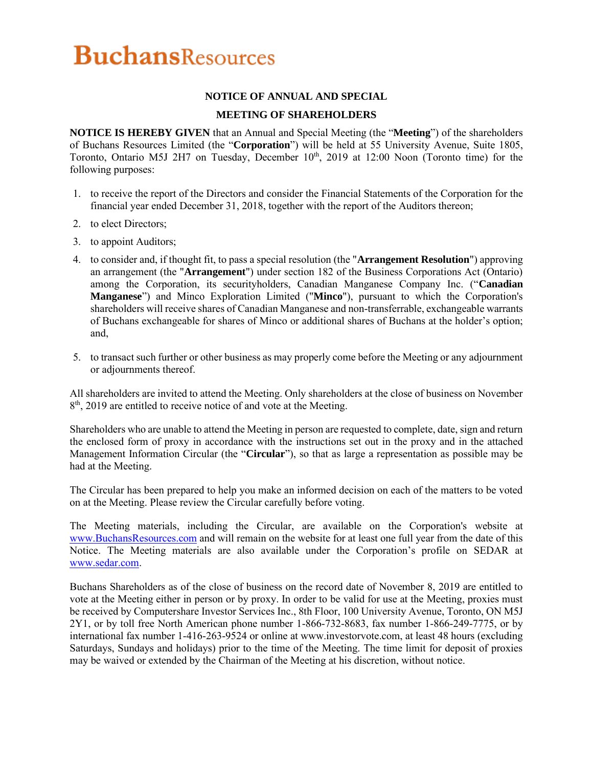# **BuchansResources**

### **NOTICE OF ANNUAL AND SPECIAL**

### **MEETING OF SHAREHOLDERS**

**NOTICE IS HEREBY GIVEN** that an Annual and Special Meeting (the "**Meeting**") of the shareholders of Buchans Resources Limited (the "**Corporation**") will be held at 55 University Avenue, Suite 1805, Toronto, Ontario M5J 2H7 on Tuesday, December  $10<sup>th</sup>$ , 2019 at 12:00 Noon (Toronto time) for the following purposes:

- 1. to receive the report of the Directors and consider the Financial Statements of the Corporation for the financial year ended December 31, 2018, together with the report of the Auditors thereon;
- 2. to elect Directors;
- 3. to appoint Auditors;
- 4. to consider and, if thought fit, to pass a special resolution (the "**Arrangement Resolution**") approving an arrangement (the "**Arrangement**") under section 182 of the Business Corporations Act (Ontario) among the Corporation, its securityholders, Canadian Manganese Company Inc. ("**Canadian Manganese**") and Minco Exploration Limited ("**Minco**"), pursuant to which the Corporation's shareholders will receive shares of Canadian Manganese and non-transferrable, exchangeable warrants of Buchans exchangeable for shares of Minco or additional shares of Buchans at the holder's option; and,
- 5. to transact such further or other business as may properly come before the Meeting or any adjournment or adjournments thereof.

All shareholders are invited to attend the Meeting. Only shareholders at the close of business on November 8<sup>th</sup>, 2019 are entitled to receive notice of and vote at the Meeting.

Shareholders who are unable to attend the Meeting in person are requested to complete, date, sign and return the enclosed form of proxy in accordance with the instructions set out in the proxy and in the attached Management Information Circular (the "**Circular**"), so that as large a representation as possible may be had at the Meeting.

The Circular has been prepared to help you make an informed decision on each of the matters to be voted on at the Meeting. Please review the Circular carefully before voting.

The Meeting materials, including the Circular, are available on the Corporation's website at www.BuchansResources.com and will remain on the website for at least one full year from the date of this Notice. The Meeting materials are also available under the Corporation's profile on SEDAR at www.sedar.com.

Buchans Shareholders as of the close of business on the record date of November 8, 2019 are entitled to vote at the Meeting either in person or by proxy. In order to be valid for use at the Meeting, proxies must be received by Computershare Investor Services Inc., 8th Floor, 100 University Avenue, Toronto, ON M5J 2Y1, or by toll free North American phone number 1-866-732-8683, fax number 1-866-249-7775, or by international fax number 1-416-263-9524 or online at www.investorvote.com, at least 48 hours (excluding Saturdays, Sundays and holidays) prior to the time of the Meeting. The time limit for deposit of proxies may be waived or extended by the Chairman of the Meeting at his discretion, without notice.